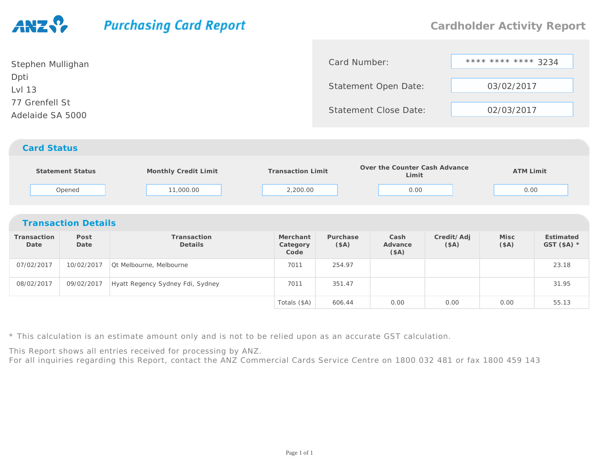## **Purchasing Card Report**

| Stephen Mullighan | Card Number:                 | **** **** **** 3234 |  |
|-------------------|------------------------------|---------------------|--|
| Dpti              |                              |                     |  |
| Lvl 13            | Statement Open Date:         | 03/02/2017          |  |
| 77 Grenfell St    | <b>Statement Close Date:</b> |                     |  |
| Adelaide SA 5000  |                              | 02/03/2017          |  |
|                   |                              |                     |  |
|                   |                              |                     |  |

## *Card Status*

|                            | Statement Status<br>Opened | Monthly Credit Limit<br>11,000.00 | <b>Transaction Limit</b><br>2,200.00 |                  | Over the Counter Cash Advance<br>Limit<br>0.00 |                     | <b>ATM Limit</b><br>0.00 |                           |  |  |
|----------------------------|----------------------------|-----------------------------------|--------------------------------------|------------------|------------------------------------------------|---------------------|--------------------------|---------------------------|--|--|
| <b>Transaction Details</b> |                            |                                   |                                      |                  |                                                |                     |                          |                           |  |  |
| Transaction<br>Date        | Post<br>Date               | Transaction<br><b>Details</b>     | Merchant<br>Category<br>Code         | Purchase<br>(SA) | Cash<br>Advance<br>(\$A)                       | Credit/Adj<br>(\$A) | Misc<br>(SA)             | Estimated<br>GST $(SA)$ * |  |  |
| 07/02/2017                 | 10/02/2017                 | Qt Melbourne, Melbourne           | 7011                                 | 254.97           |                                                |                     |                          | 23.18                     |  |  |
| 08/02/2017                 | 09/02/2017                 | Hyatt Regency Sydney Fdi, Sydney  | 7011                                 | 351.47           |                                                |                     |                          | 31.95                     |  |  |
|                            |                            |                                   | Totals (\$A)                         | 606.44           | 0.00                                           | 0.00                | 0.00                     | 55.13                     |  |  |

\* This calculation is an estimate amount only and is not to be relied upon as an accurate GST calculation.

This Report shows all entries received for processing by ANZ.

For all inquiries regarding this Report, contact the ANZ Commercial Cards Service Centre on 1800 032 481 or fax 1800 459 143